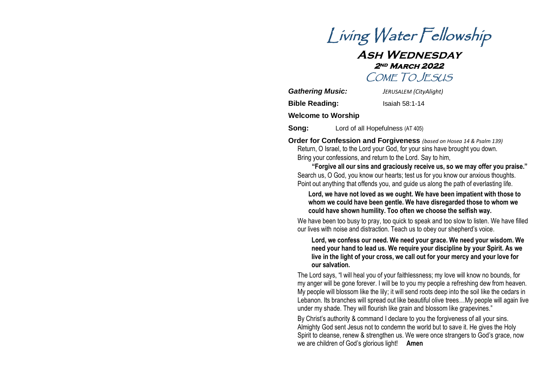

# **Ash Wednesday 2nd March 2022**  COME TO JESUS

| <b>Gathering Music:</b>   | JERUSALEM (CityAlight) |
|---------------------------|------------------------|
| <b>Bible Reading:</b>     | Isaiah 58:1-14         |
| <b>Welcome to Worship</b> |                        |

**Song:** Lord of all Hopefulness (AT 405)

**Order for Confession and Forgiveness** *(based on Hosea 14 & Psalm 139)* Return, O Israel, to the Lord your God, for your sins have brought you down. Bring your confessions, and return to the Lord. Say to him,

**"Forgive all our sins and graciously receive us, so we may offer you praise."** Search us, O God, you know our hearts; test us for you know our anxious thoughts. Point out anything that offends you, and guide us along the path of everlasting life.

**Lord, we have not loved as we ought. We have been impatient with those to whom we could have been gentle. We have disregarded those to whom we could have shown humility. Too often we choose the selfish way.**

We have been too busy to pray, too quick to speak and too slow to listen. We have filled our lives with noise and distraction. Teach us to obey our shepherd's voice.

#### **Lord, we confess our need. We need your grace. We need your wisdom. We need your hand to lead us. We require your discipline by your Spirit. As we live in the light of your cross, we call out for your mercy and your love for our salvation.**

The Lord says, "I will heal you of your faithlessness; my love will know no bounds, for my anger will be gone forever. I will be to you my people a refreshing dew from heaven. My people will blossom like the lily; it will send roots deep into the soil like the cedars in Lebanon. Its branches will spread out like beautiful olive trees…My people will again live under my shade. They will flourish like grain and blossom like grapevines."

By Christ's authority & command I declare to you the forgiveness of all your sins. Almighty God sent Jesus not to condemn the world but to save it. He gives the Holy Spirit to cleanse, renew & strengthen us. We were once strangers to God's grace, now we are children of God's glorious light! **Amen**